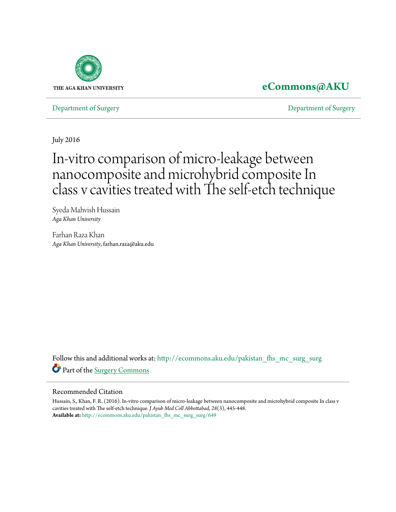

# **[eCommons@AKU](http://ecommons.aku.edu?utm_source=ecommons.aku.edu%2Fpakistan_fhs_mc_surg_surg%2F649&utm_medium=PDF&utm_campaign=PDFCoverPages)**

[Department of Surgery](http://ecommons.aku.edu/pakistan_fhs_mc_surg_surg?utm_source=ecommons.aku.edu%2Fpakistan_fhs_mc_surg_surg%2F649&utm_medium=PDF&utm_campaign=PDFCoverPages) [Department of Surgery](http://ecommons.aku.edu/pakistan_fhs_mc_surg?utm_source=ecommons.aku.edu%2Fpakistan_fhs_mc_surg_surg%2F649&utm_medium=PDF&utm_campaign=PDFCoverPages)

July 2016

# In-vitro comparison of micro-leakage between nanocomposite and microhybrid composite In class v cavities treated with The self-etch technique

Syeda Mahvish Hussain *Aga Khan University*

Farhan Raza Khan *Aga Khan University*, farhan.raza@aku.edu

Follow this and additional works at: [http://ecommons.aku.edu/pakistan\\_fhs\\_mc\\_surg\\_surg](http://ecommons.aku.edu/pakistan_fhs_mc_surg_surg?utm_source=ecommons.aku.edu%2Fpakistan_fhs_mc_surg_surg%2F649&utm_medium=PDF&utm_campaign=PDFCoverPages) Part of the [Surgery Commons](http://network.bepress.com/hgg/discipline/706?utm_source=ecommons.aku.edu%2Fpakistan_fhs_mc_surg_surg%2F649&utm_medium=PDF&utm_campaign=PDFCoverPages)

#### Recommended Citation

Hussain, S., Khan, F. R. (2016). In-vitro comparison of micro-leakage between nanocomposite and microhybrid composite In class v cavities treated with The self-etch technique. *J Ayub Med Coll Abbottabad, 28*(3), 445-448. **Available at:** [http://ecommons.aku.edu/pakistan\\_fhs\\_mc\\_surg\\_surg/649](http://ecommons.aku.edu/pakistan_fhs_mc_surg_surg/649)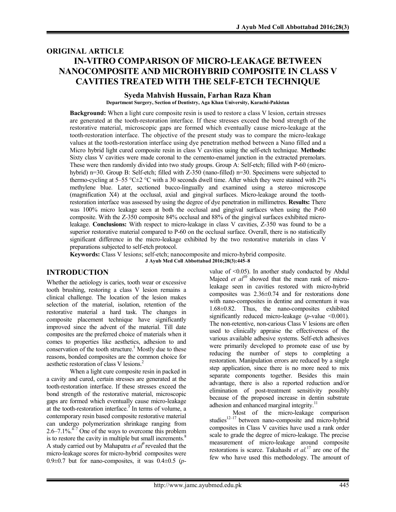# ORIGINAL ARTICLE IN-VITRO COMPARISON OF MICRO-LEAKAGE BETWEEN NANOCOMPOSITE AND MICROHYBRID COMPOSITE IN CLASS V CAVITIES TREATED WITH THE SELF-ETCH TECHNIQUE

#### Syeda Mahvish Hussain, Farhan Raza Khan

Department Surgery, Section of Dentistry, Aga Khan University, Karachi-Pakistan

Background: When a light cure composite resin is used to restore a class V lesion, certain stresses are generated at the tooth-restoration interface. If these stresses exceed the bond strength of the restorative material, microscopic gaps are formed which eventually cause micro-leakage at the tooth-restoration interface. The objective of the present study was to compare the micro-leakage values at the tooth-restoration interface using dye penetration method between a Nano filled and a Micro hybrid light cured composite resin in class V cavities using the self-etch technique. **Methods:** Sixty class V cavities were made coronal to the cemento-enamel junction in the extracted premolars. These were then randomly divided into two study groups. Group A: Self-etch; filled with P-60 (microhybrid) n=30. Group B: Self-etch; filled with Z-350 (nano-filled) n=30. Specimens were subjected to thermo-cycling at 5–55 °C $\pm$ 2 °C with a 30 seconds dwell time. After which they were stained with 2% methylene blue. Later, sectioned bucco-lingually and examined using a stereo microscope (magnification X4) at the occlusal, axial and gingival surfaces. Micro-leakage around the toothrestoration interface was assessed by using the degree of dye penetration in millimetres. Results: There was 100% micro leakage seen at both the occlusal and gingival surfaces when using the P-60 composite. With the Z-350 composite 84% occlusal and 88% of the gingival surfaces exhibited microleakage. Conclusions: With respect to micro-leakage in class V cavities, Z-350 was found to be a superior restorative material compared to P-60 on the occlusal surface. Overall, there is no statistically significant difference in the micro-leakage exhibited by the two restorative materials in class V preparations subjected to self-etch protocol.

Keywords: Class V lesions; self-etch; nanocomposite and micro-hybrid composite. J Ayub Med Coll Abbottabad 2016;28(3):445–8

## INTRODUCTION

Whether the aetiology is caries, tooth wear or excessive tooth brushing, restoring a class V lesion remains a clinical challenge. The location of the lesion makes selection of the material, isolation, retention of the restorative material a hard task. The changes in composite placement technique have significantly improved since the advent of the material. Till date composites are the preferred choice of materials when it comes to properties like aesthetics, adhesion to and conservation of the tooth structure.<sup>1</sup> Mostly due to these reasons, bonded composites are the common choice for aesthetic restoration of class V lesions. 2

When a light cure composite resin in packed in a cavity and cured, certain stresses are generated at the tooth-restoration interface. If these stresses exceed the bond strength of the restorative material, microscopic gaps are formed which eventually cause micro-leakage at the tooth-restoration interface.<sup>3</sup> In terms of volume, a contemporary resin based composite restorative material can undergo polymerization shrinkage ranging from 2.6–7.1%. $4\frac{1}{2}$  One of the ways to overcome this problem is to restore the cavity in multiple but small increments. $8$ A study carried out by Mahapatra *et al*<sup>9</sup> revealed that the micro-leakage scores for micro-hybrid composites were  $0.9\pm0.7$  but for nano-composites, it was  $0.4\pm0.5$  (*p*-

value of <0.05). In another study conducted by Abdul Majeed *et*  $al^{10}$  showed that the mean rank of microleakage seen in cavities restored with micro-hybrid composites was 2.36±0.74 and for restorations done with nano-composites in dentine and cementum it was 1.68±0.82. Thus, the nano-composites exhibited significantly reduced micro-leakage  $(p$ -value  $\leq 0.001$ ). The non-retentive, non-carious Class V lesions are often used to clinically appraise the effectiveness of the various available adhesive systems. Self-etch adhesives were primarily developed to promote ease of use by reducing the number of steps to completing a restoration. Manipulation errors are reduced by a single step application, since there is no more need to mix separate components together. Besides this main advantage, there is also a reported reduction and/or elimination of post-treatment sensitivity possibly because of the proposed increase in dentin substrate adhesion and enhanced marginal integrity.<sup>11</sup>

Most of the micro-leakage comparison studies<sup>12–17</sup> between nano-composite and micro-hybrid composites in Class V cavities have used a rank order scale to grade the degree of micro-leakage. The precise measurement of micro-leakage around composite restorations is scarce. Takahashi *et al.* <sup>17</sup> are one of the few who have used this methodology. The amount of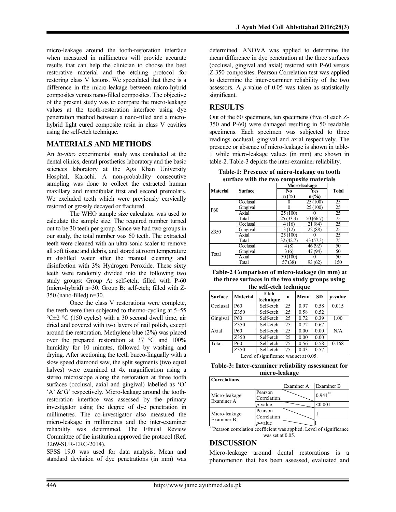micro-leakage around the tooth-restoration interface when measured in millimetres will provide accurate results that can help the clinician to choose the best restorative material and the etching protocol for restoring class V lesions. We speculated that there is a difference in the micro-leakage between micro-hybrid composites versus nano-filled composites. The objective of the present study was to compare the micro-leakage values at the tooth-restoration interface using dye penetration method between a nano-filled and a microhybrid light cured composite resin in class V cavities using the self-etch technique.

#### MATERIALS AND METHODS

An *in-vitro* experimental study was conducted at the dental clinics, dental prosthetics laboratory and the basic sciences laboratory at the Aga Khan University Hospital, Karachi. A non-probability consecutive sampling was done to collect the extracted human maxillary and mandibular first and second premolars. We excluded teeth which were previously cervically restored or grossly decayed or fractured.

The WHO sample size calculator was used to calculate the sample size. The required number turned out to be 30 teeth per group. Since we had two groups in our study, the total number was 60 teeth. The extracted teeth were cleaned with an ultra-sonic scaler to remove all soft tissue and debris, and stored at room temperature in distilled water after the manual cleaning and disinfection with 3% Hydrogen Peroxide. These sixty teeth were randomly divided into the following two study groups: Group A: self-etch; filled with P-60 (micro-hybrid) n=30. Group B: self-etch; filled with Z-350 (nano-filled) n=30.

Once the class V restorations were complete, the teeth were then subjected to thermo-cycling at 5–55 °C $\pm$ 2 °C (150 cycles) with a 30 second dwell time, air dried and covered with two layers of nail polish, except around the restoration. Methylene blue (2%) was placed over the prepared restoration at 37 °C and 100% humidity for 10 minutes, followed by washing and drying. After sectioning the teeth bucco-lingually with a slow speed diamond saw, the split segments (two equal halves) were examined at 4x magnification using a stereo microscope along the restoration at three tooth surfaces (occlusal, axial and gingival) labelled as 'O' 'A' &'G' respectively. Micro-leakage around the toothrestoration interface was assessed by the primary investigator using the degree of dye penetration in millimetres. The co-investigator also measured the micro-leakage in millimetres and the inter-examiner reliability was determined. The Ethical Review Committee of the institution approved the protocol (Ref. 3269-SUR-ERC-2014).

SPSS 19.0 was used for data analysis. Mean and standard deviation of dye penetrations (in mm) was

determined. ANOVA was applied to determine the mean difference in dye penetration at the three surfaces (occlusal, gingival and axial) restored with P-60 versus Z-350 composites. Pearson Correlation test was applied to determine the inter-examiner reliability of the two assessors. A *p*-value of 0.05 was taken as statistically significant.

#### **RESULTS**

Out of the 60 specimens, ten specimens (five of each Z-350 and P-60) were damaged resulting in 50 readable specimens. Each specimen was subjected to three readings occlusal, gingival and axial respectively. The presence or absence of micro-leakage is shown in table-1 while micro-leakage values (in mm) are shown in table-2. Table-3 depicts the inter-examiner reliability.

Table-1: Presence of micro-leakage on tooth surface with the two composite materials

|                 | <b>Surface</b> |           | Micro-leakage |              |  |
|-----------------|----------------|-----------|---------------|--------------|--|
| <b>Material</b> |                | No        | Yes           | <b>Total</b> |  |
|                 |                | $n$ (%)   | $n$ (%)       |              |  |
| P60             | Occlusal       |           | 25(100)       | 25           |  |
|                 | Gingival       |           | 25 (100)      | 25           |  |
|                 | Axial          | 25 (100)  |               | 25           |  |
|                 | Total          | 25 (33.3) | 50 (66.7)     | 75           |  |
| 7350            | Occlusal       | 4(16)     | 21 (84)       | 25           |  |
|                 | Gingival       | 3(12)     | 22 (88)       | 25           |  |
|                 | Axial          | 25 (100)  |               | 25           |  |
|                 | Total          | 32 (42.7) | 43(57.3)      | 75           |  |
| Total           | Occlusal       | (8)<br>4  | 46 (92)       | 50           |  |
|                 | Gingival       | 3(6)      | 47 (94)       | 50           |  |
|                 | Axial          | 50 (100)  |               | 50           |  |
|                 | Total          | 57 (38)   | 93 (62)       | 150          |  |

| Table-2 Comparison of micro-leakage (in mm) at   |
|--------------------------------------------------|
| the three surfaces in the two study groups using |
| the self-etch technique                          |

| <b>Surface</b> | <b>Material</b> | Etch<br>technique | n  | Mean | <b>SD</b> | $p$ -value |
|----------------|-----------------|-------------------|----|------|-----------|------------|
| Occlusal       | P <sub>60</sub> | Self-etch         | 25 | 0.97 | 0.58      | 0.015      |
|                | Z350            | Self-etch         | 25 | 0.58 | 0.52      |            |
| Gingival       | P <sub>60</sub> | Self-etch         | 25 | 0.72 | 0.39      | 1.00       |
|                | Z350            | Self-etch         | 25 | 0.72 | 0.67      |            |
| Axial          | P60             | Self-etch         | 25 | 0.00 | 0.00      | N/A        |
|                | Z350            | Self-etch         | 25 | 0.00 | 0.00      |            |
| Total          | P60             | Self-etch         | 75 | 0.56 | 0.58      | 0.168      |
|                | Z350            | Self-etch         | 75 | 0.43 | 0.57      |            |

Level of significance was set at 0.05.

Table-3: Inter-examiner reliability assessment for micro-leakage

| <b>Correlations</b>                     |                        |            |            |  |  |  |
|-----------------------------------------|------------------------|------------|------------|--|--|--|
|                                         |                        | Examiner A | Examiner B |  |  |  |
| Micro-leakage<br>Examiner A             | Pearson<br>Correlation |            | $0.941$ ** |  |  |  |
|                                         | $p$ -value             |            | < 0.001    |  |  |  |
| Micro-leakage<br>Examiner B<br>$**_{n}$ | Pearson<br>Correlation |            |            |  |  |  |
|                                         | $p$ -value             |            |            |  |  |  |

\*Pearson correlation coefficient was applied. Level of significance was set at 0.05.

#### DISCUSSION

Micro-leakage around dental restorations is a phenomenon that has been assessed, evaluated and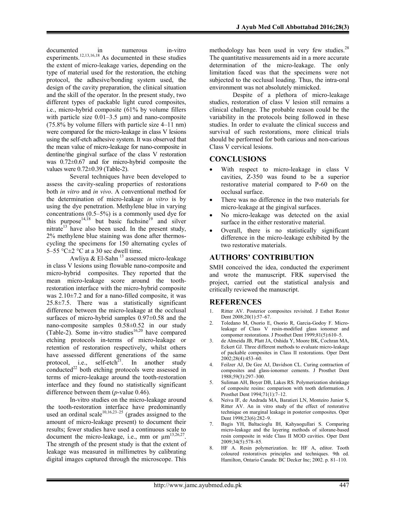documented in numerous in-vitro experiments.<sup>12,13,16,18</sup> As documented in these studies the extent of micro-leakage varies, depending on the type of material used for the restoration, the etching protocol, the adhesive/bonding system used, the design of the cavity preparation, the clinical situation and the skill of the operator. In the present study, two different types of packable light cured composites, i.e., micro-hybrid composite (61% by volume fillers with particle size  $0.01-3.5 \mu m$ ) and nano-composite (75.8% by volume fillers with particle size 4–11 nm) were compared for the micro-leakage in class V lesions using the self-etch adhesive system. It was observed that the mean value of micro-leakage for nano-composite in dentine/the gingival surface of the class V restoration was 0.72±0.67 and for micro-hybrid composite the values were 0.72±0.39 (Table-2).

Several techniques have been developed to assess the cavity-sealing properties of restorations both *in vitro* and *in vivo*. A conventional method for the determination of micro-leakage *in vitro* is by using the dye penetration. Methylene blue in varying concentrations (0.5–5%) is a commonly used dye for this purpose<sup>14,18</sup> but basic fuchsine<sup>19</sup> and silver nitrate<sup>13</sup> have also been used. In the present study, 2% methylene blue staining was done after thermoscycling the specimens for 150 alternating cycles of 5–55 °C $\pm$ 2 °C at a 30 sec dwell time.

Awliya & El-Sahn<sup>13</sup> assessed micro-leakage in class V lesions using flowable nano-composite and micro-hybrid composites. They reported that the mean micro-leakage score around the toothrestoration interface with the micro-hybrid composite was  $2.10\pm7.2$  and for a nano-filled composite, it was  $25.8 \pm 7.5$ . There was a statistically significant difference between the micro-leakage at the occlusal surfaces of micro-hybrid samples 0.97±0.58 and the nano-composite samples 0.58±0.52 in our study (Table-2). Some in-vitro studies<sup>16,20</sup> have compared etching protocols in-terms of micro-leakage or retention of restoration respectively, whilst others have assessed different generations of the same protocol, i.e., self-etch<sup>21</sup>. In another study conducted $^{22}$  both etching protocols were assessed in terms of micro-leakage around the tooth-restoration interface and they found no statistically significant difference between them (*p*-value 0.46).

In-vitro studies on the micro-leakage around the tooth-restoration interface have predominantly used an ordinal scale<sup>10,16,23–25</sup> (grades assigned to the amount of micro-leakage present) to document their results; fewer studies have used a continuous scale to document the micro-leakage, i.e., mm or  $\mu$ m<sup>13,26,27</sup>. The strength of the present study is that the extent of leakage was measured in millimetres by calibrating digital images captured through the microscope. This

methodology has been used in very few studies.<sup>28</sup> The quantitative measurements aid in a more accurate determination of the micro-leakage. The only limitation faced was that the specimens were not subjected to the occlusal loading. Thus, the intra-oral environment was not absolutely mimicked.

Despite of a plethora of micro-leakage studies, restoration of class V lesion still remains a clinical challenge. The probable reason could be the variability in the protocols being followed in these studies. In order to evaluate the clinical success and survival of such restorations, more clinical trials should be performed for both carious and non-carious Class V cervical lesions.

#### **CONCLUSIONS**

- With respect to micro-leakage in class V cavities, Z-350 was found to be a superior restorative material compared to P-60 on the occlusal surface.
- There was no difference in the two materials for micro-leakage at the gingival surfaces.
- No micro-leakage was detected on the axial surface in the either restorative material.
- Overall, there is no statistically significant difference in the micro-leakage exhibited by the two restorative materials.

# AUTHORS' CONTRIBUTION

SMH conceived the idea, conducted the experiment and wrote the manuscript. FRK supervised the project, carried out the statistical analysis and critically reviewed the manuscript.

## REFERENCES

- 1. Ritter AV. Posterior composites revisited. J Esthet Restor Dent 2008;20(1):57–67.
- 2. Toledano M, Osorio E, Osorio R, Garcia-Godoy F. Microleakage of Class V resin-modified glass ionomer and compomer restorations. J Prosthet Dent 1999;81(5):610–5.
- 3. de Almeida JB, Platt JA, Oshida Y, Moore BK, Cochran MA, Eckert GJ. Three different methods to evaluate micro-leakage of packable composites in Class II restorations. Oper Dent 2002;28(4):453–60.
- 4. Feilzer AJ, De Gee AJ, Davidson CL. Curing contraction of composites and glass-ionomer cements. J Prosthet Dent 1988;59(3):297–300.
- 5. Suliman AH, Boyer DB, Lakes RS. Polymerization shrinkage of composite resins: comparison with tooth deformation. J Prosthet Dent 1994;71(1):7–12.
- 6. Neiva IF, de Andrada MA, Baratieri LN, Monteiro Junior S, Ritter AV. An in vitro study of the effect of restorative technique on marginal leakage in posterior composites. Oper Dent 1998;23(6):282–9.
- 7. Bagis YH, Baltacioglu IH, Kahyaogullari S. Comparing micro-leakage and the layering methods of silorane-based resin composite in wide Class II MOD cavities. Oper Dent 2009;34(5):578–85.
- 8. HF A. Resin polymerization. In: HF A, editor. Tooth coloured restoratives principles and techniques. 9th ed. Hamilton, Ontario Canada: BC Decker Inc; 2002. p. 81–110.